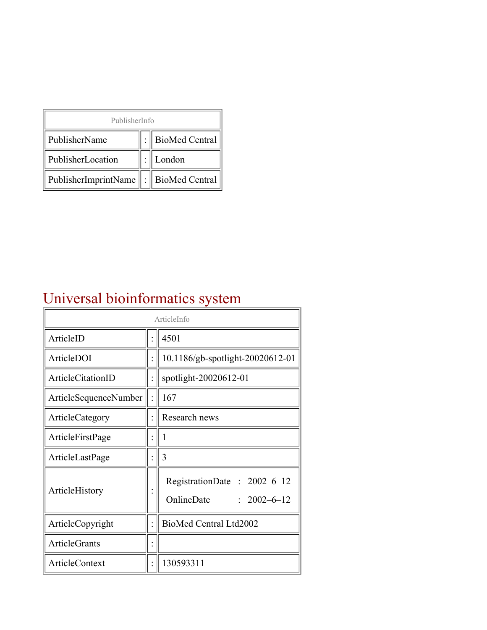| PublisherInfo                               |  |                    |  |  |
|---------------------------------------------|--|--------------------|--|--|
| PublisherName                               |  | :   BioMed Central |  |  |
| PublisherLocation                           |  | London             |  |  |
| PublisherImprintName    :    BioMed Central |  |                    |  |  |

## Universal bioinformatics system

| ArticleInfo           |  |                                                                |  |
|-----------------------|--|----------------------------------------------------------------|--|
| ArticleID             |  | 4501                                                           |  |
| ArticleDOI            |  | 10.1186/gb-spotlight-20020612-01                               |  |
| ArticleCitationID     |  | spotlight-20020612-01                                          |  |
| ArticleSequenceNumber |  | 167                                                            |  |
| ArticleCategory       |  | Research news                                                  |  |
| ArticleFirstPage      |  |                                                                |  |
| ArticleLastPage       |  | 3                                                              |  |
| ArticleHistory        |  | RegistrationDate: 2002-6-12<br>OnlineDate<br>$: 2002 - 6 - 12$ |  |
| ArticleCopyright      |  | BioMed Central Ltd2002                                         |  |
| <b>ArticleGrants</b>  |  |                                                                |  |
| ArticleContext        |  | 130593311                                                      |  |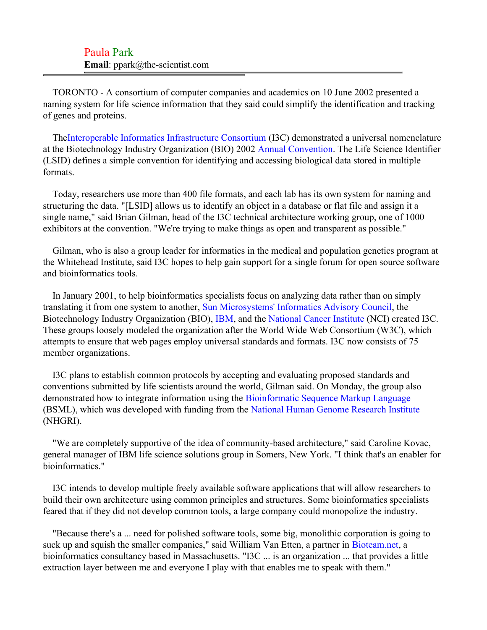| Paula Park                     |
|--------------------------------|
| Email: ppark@the-scientist.com |

TORONTO - A consortium of computer companies and academics on 10 June 2002 presented a naming system for life science information that they said could simplify the identification and tracking of genes and proteins.

The[Interoperable Informatics Infrastructure Consortium](#page-2-0) (I3C) demonstrated a universal nomenclature at the Biotechnology Industry Organization (BIO) 2002 [Annual Convention.](#page-2-1) The Life Science Identifier (LSID) defines a simple convention for identifying and accessing biological data stored in multiple formats.

Today, researchers use more than 400 file formats, and each lab has its own system for naming and structuring the data. "[LSID] allows us to identify an object in a database or flat file and assign it a single name," said Brian Gilman, head of the I3C technical architecture working group, one of 1000 exhibitors at the convention. "We're trying to make things as open and transparent as possible."

Gilman, who is also a group leader for informatics in the medical and population genetics program at the Whitehead Institute, said I3C hopes to help gain support for a single forum for open source software and bioinformatics tools.

In January 2001, to help bioinformatics specialists focus on analyzing data rather than on simply translating it from one system to another, [Sun Microsystems' Informatics Advisory Council,](#page-2-2) the Biotechnology Industry Organization (BIO), [IBM,](#page-2-3) and the [National Cancer Institute](#page-2-4) (NCI) created I3C. These groups loosely modeled the organization after the World Wide Web Consortium (W3C), which attempts to ensure that web pages employ universal standards and formats. I3C now consists of 75 member organizations.

I3C plans to establish common protocols by accepting and evaluating proposed standards and conventions submitted by life scientists around the world, Gilman said. On Monday, the group also demonstrated how to integrate information using the [Bioinformatic Sequence Markup Language](#page-2-5) (BSML), which was developed with funding from the [National Human Genome Research Institute](#page-2-6) (NHGRI).

"We are completely supportive of the idea of community-based architecture," said Caroline Kovac, general manager of IBM life science solutions group in Somers, New York. "I think that's an enabler for bioinformatics."

I3C intends to develop multiple freely available software applications that will allow researchers to build their own architecture using common principles and structures. Some bioinformatics specialists feared that if they did not develop common tools, a large company could monopolize the industry.

"Because there's a ... need for polished software tools, some big, monolithic corporation is going to suck up and squish the smaller companies," said William Van Etten, a partner in [Bioteam.net](#page-2-7), a bioinformatics consultancy based in Massachusetts. "I3C ... is an organization ... that provides a little extraction layer between me and everyone I play with that enables me to speak with them."